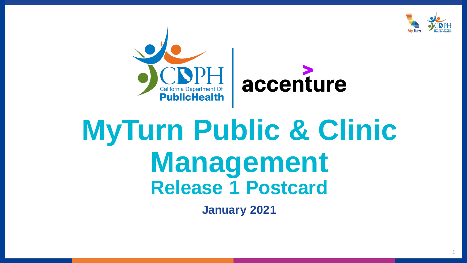

1



# **MyTurn Public & Clinic Management Release 1 Postcard**

**January 2021**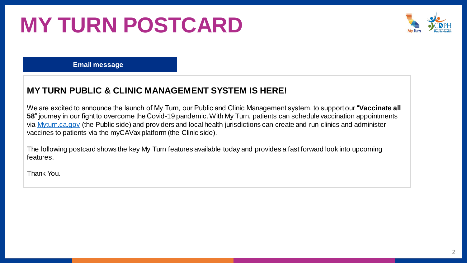## **MY TURN POSTCARD**



**Email message**

#### **MY TURN PUBLIC & CLINIC MANAGEMENT SYSTEM IS HERE!**

We are excited to announce the launch of My Turn, our Public and Clinic Management system, to support our "**Vaccinate all 58**" journey in our fight to overcome the Covid-19 pandemic. With My Turn, patients can schedule vaccination appointments via [Myturn.ca.gov](https://myturn.ca.gov/) (the Public side) and providers and local health jurisdictions can create and run clinics and administer vaccines to patients via the myCAVax platform (the Clinic side).

The following postcard shows the key My Turn features available today and provides a fast forward look into upcoming features.

Thank You.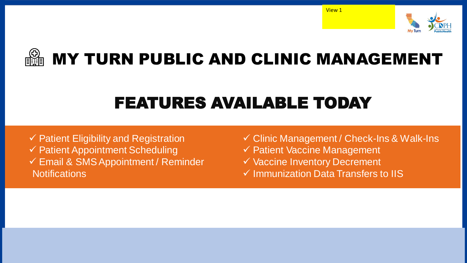





#### FEATURES AVAILABLE TODAY

 $\checkmark$  Patient Eligibility and Registration ✓ Patient Appointment Scheduling ✓ Email & SMS Appointment / Reminder **Notifications** 

✓ Clinic Management / Check-Ins & Walk-Ins ✓ Patient Vaccine Management ✓ Vaccine Inventory Decrement

✓ Immunization Data Transfers to IIS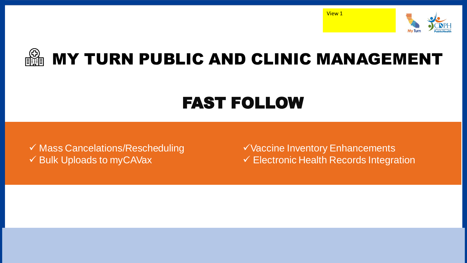



### FAST FOLLOW

✓ Mass Cancelations/Rescheduling ✓ Bulk Uploads to myCAVax

✓Vaccine Inventory Enhancements ✓ Electronic Health Records Integration